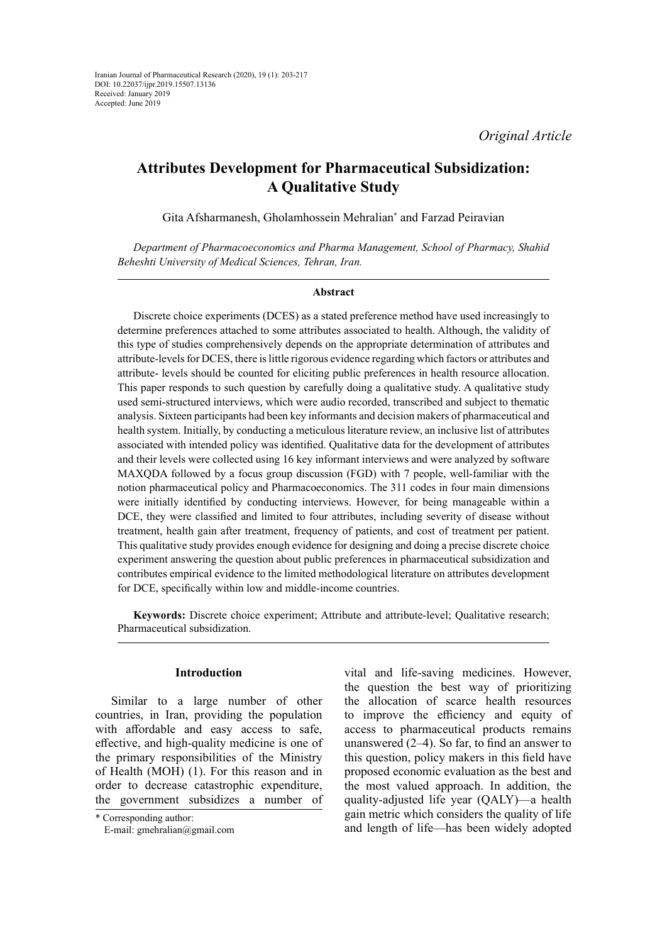*Original Article*

# **Attributes Development for Pharmaceutical Subsidization: A Qualitative Study**

Gita Afsharmanesh, Gholamhossein Mehralian\* and Farzad Peiravian

*Department of Pharmacoeconomics and Pharma Management, School of Pharmacy, Shahid Beheshti University of Medical Sciences, Tehran, Iran.*

## **Abstract**

Discrete choice experiments (DCES) as a stated preference method have used increasingly to determine preferences attached to some attributes associated to health. Although, the validity of this type of studies comprehensively depends on the appropriate determination of attributes and attribute-levels for DCES, there is little rigorous evidence regarding which factors or attributes and attribute- levels should be counted for eliciting public preferences in health resource allocation. This paper responds to such question by carefully doing a qualitative study. A qualitative study used semi-structured interviews, which were audio recorded, transcribed and subject to thematic analysis. Sixteen participants had been key informants and decision makers of pharmaceutical and health system. Initially, by conducting a meticulous literature review, an inclusive list of attributes associated with intended policy was identified. Qualitative data for the development of attributes and their levels were collected using 16 key informant interviews and were analyzed by software MAXQDA followed by a focus group discussion (FGD) with 7 people, well-familiar with the notion pharmaceutical policy and Pharmacoeconomics. The 311 codes in four main dimensions were initially identified by conducting interviews. However, for being manageable within a DCE, they were classified and limited to four attributes, including severity of disease without treatment, health gain after treatment, frequency of patients, and cost of treatment per patient. This qualitative study provides enough evidence for designing and doing a precise discrete choice experiment answering the question about public preferences in pharmaceutical subsidization and contributes empirical evidence to the limited methodological literature on attributes development for DCE, specifically within low and middle-income countries.

**Keywords:** Discrete choice experiment; Attribute and attribute-level; Qualitative research; Pharmaceutical subsidization.

## **Introduction**

Similar to a large number of other countries, in Iran, providing the population with affordable and easy access to safe, effective, and high-quality medicine is one of the primary responsibilities of the Ministry of Health (MOH) (1). For this reason and in order to decrease catastrophic expenditure, the government subsidizes a number of

vital and life-saving medicines. However, the question the best way of prioritizing the allocation of scarce health resources to improve the efficiency and equity of access to pharmaceutical products remains unanswered (2–4). So far, to find an answer to this question, policy makers in this field have proposed economic evaluation as the best and the most valued approach. In addition, the quality-adjusted life year (QALY)—a health gain metric which considers the quality of life and length of life—has been widely adopted

<sup>\*</sup> Corresponding author:

E-mail: gmehralian@gmail.com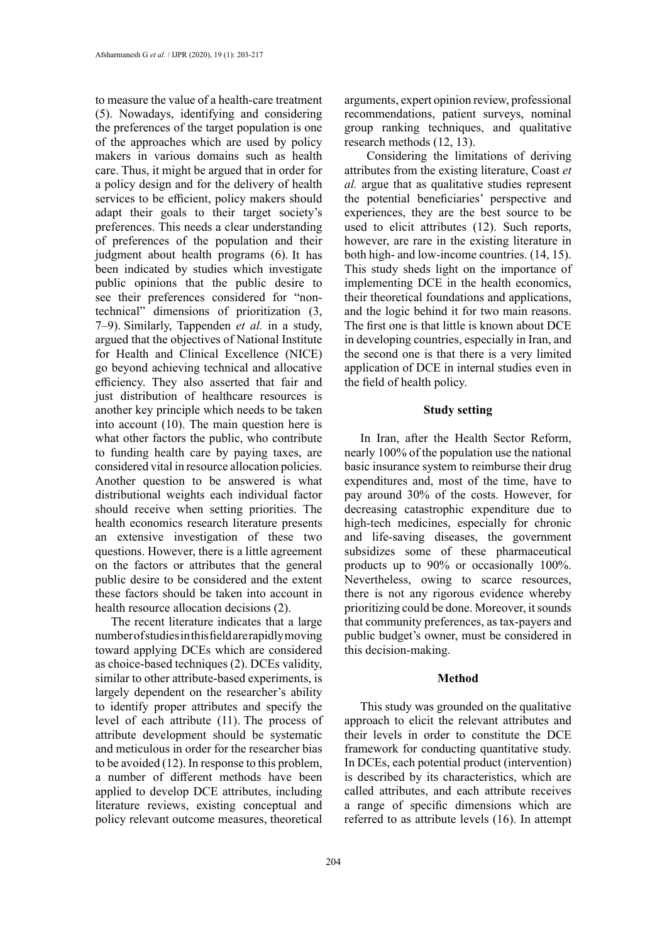to measure the value of a health-care treatment (5). Nowadays, identifying and considering the preferences of the target population is one of the approaches which are used by policy makers in various domains such as health care. Thus, it might be argued that in order for a policy design and for the delivery of health services to be efficient, policy makers should adapt their goals to their target society's preferences. This needs a clear understanding of preferences of the population and their judgment about health programs (6). It has been indicated by studies which investigate public opinions that the public desire to see their preferences considered for "nontechnical" dimensions of prioritization (3, 7–9). Similarly, Tappenden *et al.* in a study, argued that the objectives of National Institute for Health and Clinical Excellence (NICE) go beyond achieving technical and allocative efficiency. They also asserted that fair and just distribution of healthcare resources is another key principle which needs to be taken into account (10). The main question here is what other factors the public, who contribute to funding health care by paying taxes, are considered vital in resource allocation policies. Another question to be answered is what distributional weights each individual factor should receive when setting priorities. The health economics research literature presents an extensive investigation of these two questions. However, there is a little agreement on the factors or attributes that the general public desire to be considered and the extent these factors should be taken into account in health resource allocation decisions (2).

The recent literature indicates that a large number of studies in this field are rapidly moving toward applying DCEs which are considered as choice-based techniques (2). DCEs validity, similar to other attribute-based experiments, is largely dependent on the researcher's ability to identify proper attributes and specify the level of each attribute (11). The process of attribute development should be systematic and meticulous in order for the researcher bias to be avoided (12). In response to this problem, a number of different methods have been applied to develop DCE attributes, including literature reviews, existing conceptual and policy relevant outcome measures, theoretical

arguments, expert opinion review, professional recommendations, patient surveys, nominal group ranking techniques, and qualitative research methods (12, 13).

 Considering the limitations of deriving attributes from the existing literature, Coast *et al.* argue that as qualitative studies represent the potential beneficiaries' perspective and experiences, they are the best source to be used to elicit attributes (12). Such reports, however, are rare in the existing literature in both high- and low-income countries. (14, 15). This study sheds light on the importance of implementing DCE in the health economics, their theoretical foundations and applications, and the logic behind it for two main reasons. The first one is that little is known about DCE in developing countries, especially in Iran, and the second one is that there is a very limited application of DCE in internal studies even in the field of health policy.

#### **Study setting**

In Iran, after the Health Sector Reform, nearly 100% of the population use the national basic insurance system to reimburse their drug expenditures and, most of the time, have to pay around 30% of the costs. However, for decreasing catastrophic expenditure due to high-tech medicines, especially for chronic and life-saving diseases, the government subsidizes some of these pharmaceutical products up to 90% or occasionally 100%. Nevertheless, owing to scarce resources, there is not any rigorous evidence whereby prioritizing could be done. Moreover, it sounds that community preferences, as tax-payers and public budget's owner, must be considered in this decision-making.

## **Method**

This study was grounded on the qualitative approach to elicit the relevant attributes and their levels in order to constitute the DCE framework for conducting quantitative study. In DCEs, each potential product (intervention) is described by its characteristics, which are called attributes, and each attribute receives a range of specific dimensions which are referred to as attribute levels (16). In attempt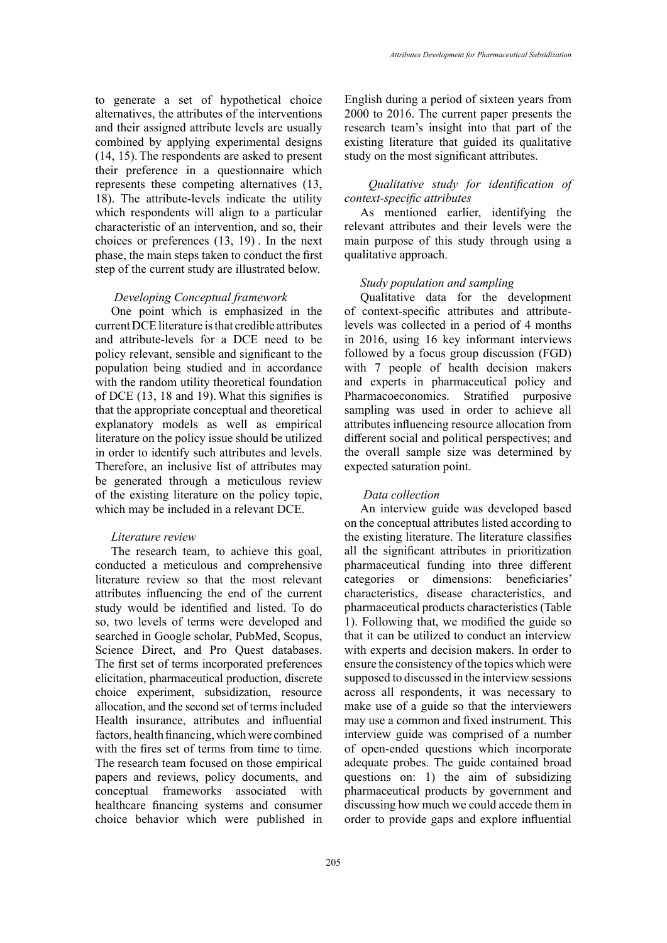to generate a set of hypothetical choice alternatives, the attributes of the interventions and their assigned attribute levels are usually combined by applying experimental designs (14, 15).The respondents are asked to present their preference in a questionnaire which represents these competing alternatives (13, 18). The attribute-levels indicate the utility which respondents will align to a particular characteristic of an intervention, and so, their choices or preferences (13, 19) . In the next phase, the main steps taken to conduct the first step of the current study are illustrated below.

#### *Developing Conceptual framework*

One point which is emphasized in the current DCE literature is that credible attributes and attribute-levels for a DCE need to be policy relevant, sensible and significant to the population being studied and in accordance with the random utility theoretical foundation of DCE (13, 18 and 19).What this signifies is that the appropriate conceptual and theoretical explanatory models as well as empirical literature on the policy issue should be utilized in order to identify such attributes and levels. Therefore, an inclusive list of attributes may be generated through a meticulous review of the existing literature on the policy topic, which may be included in a relevant DCE.

#### *Literature review*

The research team, to achieve this goal, conducted a meticulous and comprehensive literature review so that the most relevant attributes influencing the end of the current study would be identified and listed. To do so, two levels of terms were developed and searched in Google scholar, PubMed, Scopus, Science Direct, and Pro Quest databases. The first set of terms incorporated preferences elicitation, pharmaceutical production, discrete choice experiment, subsidization, resource allocation, and the second set of terms included Health insurance, attributes and influential factors, health financing, which were combined with the fires set of terms from time to time. The research team focused on those empirical papers and reviews, policy documents, and conceptual frameworks associated with healthcare financing systems and consumer choice behavior which were published in

English during a period of sixteen years from 2000 to 2016. The current paper presents the research team's insight into that part of the existing literature that guided its qualitative study on the most significant attributes.

# *Qualitative study for identification of context-specific attributes*

As mentioned earlier, identifying the relevant attributes and their levels were the main purpose of this study through using a qualitative approach.

#### *Study population and sampling*

Qualitative data for the development of context-specific attributes and attributelevels was collected in a period of 4 months in 2016, using 16 key informant interviews followed by a focus group discussion (FGD) with 7 people of health decision makers and experts in pharmaceutical policy and Pharmacoeconomics. Stratified purposive sampling was used in order to achieve all attributes influencing resource allocation from different social and political perspectives; and the overall sample size was determined by expected saturation point.

#### *Data collection*

An interview guide was developed based on the conceptual attributes listed according to the existing literature. The literature classifies all the significant attributes in prioritization pharmaceutical funding into three different categories or dimensions: beneficiaries' characteristics, disease characteristics, and pharmaceutical products characteristics (Table 1). Following that, we modified the guide so that it can be utilized to conduct an interview with experts and decision makers. In order to ensure the consistency of the topics which were supposed to discussed in the interview sessions across all respondents, it was necessary to make use of a guide so that the interviewers may use a common and fixed instrument. This interview guide was comprised of a number of open-ended questions which incorporate adequate probes. The guide contained broad questions on: 1) the aim of subsidizing pharmaceutical products by government and discussing how much we could accede them in order to provide gaps and explore influential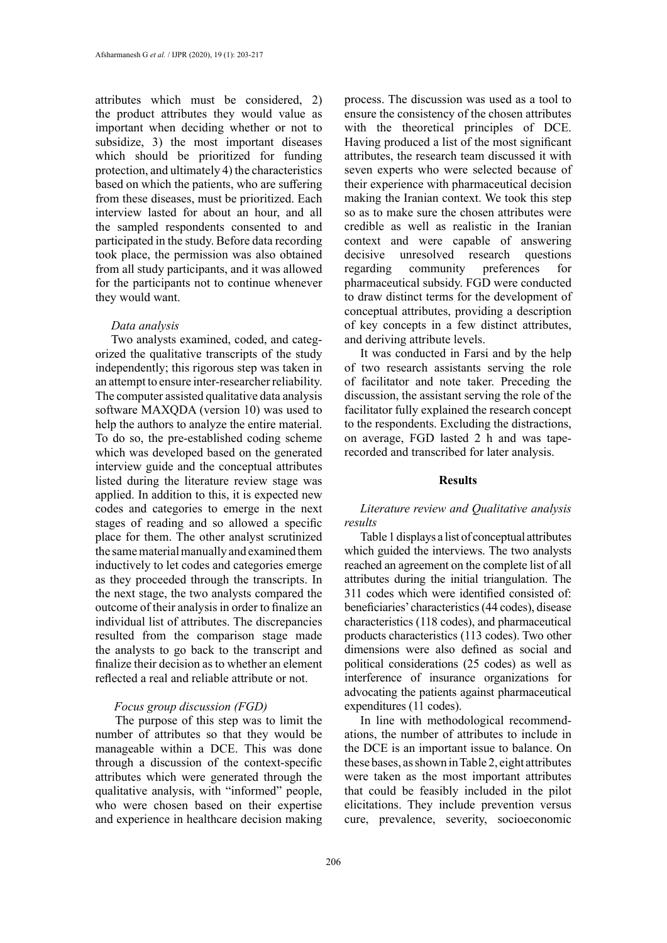attributes which must be considered, 2) the product attributes they would value as important when deciding whether or not to subsidize, 3) the most important diseases which should be prioritized for funding protection, and ultimately 4) the characteristics based on which the patients, who are suffering from these diseases, must be prioritized. Each interview lasted for about an hour, and all the sampled respondents consented to and participated in the study. Before data recording took place, the permission was also obtained from all study participants, and it was allowed for the participants not to continue whenever they would want.

#### *Data analysis*

Two analysts examined, coded, and categorized the qualitative transcripts of the study independently; this rigorous step was taken in an attempt to ensure inter-researcher reliability. The computer assisted qualitative data analysis software MAXQDA (version 10) was used to help the authors to analyze the entire material. To do so, the pre-established coding scheme which was developed based on the generated interview guide and the conceptual attributes listed during the literature review stage was applied. In addition to this, it is expected new codes and categories to emerge in the next stages of reading and so allowed a specific place for them. The other analyst scrutinized the same material manually and examined them inductively to let codes and categories emerge as they proceeded through the transcripts. In the next stage, the two analysts compared the outcome of their analysis in order to finalize an individual list of attributes. The discrepancies resulted from the comparison stage made the analysts to go back to the transcript and finalize their decision as to whether an element reflected a real and reliable attribute or not.

# *Focus group discussion (FGD)*

 The purpose of this step was to limit the number of attributes so that they would be manageable within a DCE. This was done through a discussion of the context-specific attributes which were generated through the qualitative analysis, with "informed" people, who were chosen based on their expertise and experience in healthcare decision making process. The discussion was used as a tool to ensure the consistency of the chosen attributes with the theoretical principles of DCE. Having produced a list of the most significant attributes, the research team discussed it with seven experts who were selected because of their experience with pharmaceutical decision making the Iranian context. We took this step so as to make sure the chosen attributes were credible as well as realistic in the Iranian context and were capable of answering decisive unresolved research questions regarding community preferences for pharmaceutical subsidy. FGD were conducted to draw distinct terms for the development of conceptual attributes, providing a description of key concepts in a few distinct attributes, and deriving attribute levels.

It was conducted in Farsi and by the help of two research assistants serving the role of facilitator and note taker. Preceding the discussion, the assistant serving the role of the facilitator fully explained the research concept to the respondents. Excluding the distractions, on average, FGD lasted 2 h and was taperecorded and transcribed for later analysis.

#### **Results**

# *Literature review and Qualitative analysis results*

Table 1 displays a list of conceptual attributes which guided the interviews. The two analysts reached an agreement on the complete list of all attributes during the initial triangulation. The 311 codes which were identified consisted of: beneficiaries' characteristics (44 codes), disease characteristics (118 codes), and pharmaceutical products characteristics (113 codes). Two other dimensions were also defined as social and political considerations (25 codes) as well as interference of insurance organizations for advocating the patients against pharmaceutical expenditures (11 codes).

In line with methodological recommendations, the number of attributes to include in the DCE is an important issue to balance. On these bases, as shown in Table 2, eight attributes were taken as the most important attributes that could be feasibly included in the pilot elicitations. They include prevention versus cure, prevalence, severity, socioeconomic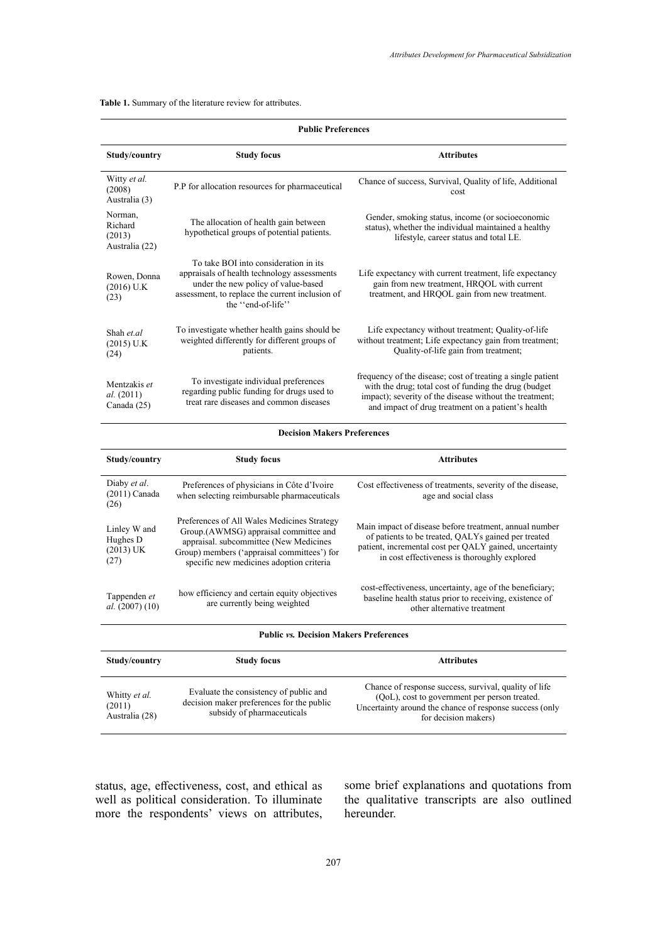**Table 1.** Summary of the literature review for attributes. **Table 1.** Summary of the literature review for attributes.

| <b>Public Preferences</b>                       |                                                                                                                                                                                                                           |                                                                                                                                                                                                                                       |  |  |
|-------------------------------------------------|---------------------------------------------------------------------------------------------------------------------------------------------------------------------------------------------------------------------------|---------------------------------------------------------------------------------------------------------------------------------------------------------------------------------------------------------------------------------------|--|--|
| Study/country                                   | <b>Study focus</b>                                                                                                                                                                                                        | <b>Attributes</b>                                                                                                                                                                                                                     |  |  |
| Witty et al.<br>(2008)<br>Australia (3)         | P.P for allocation resources for pharmaceutical                                                                                                                                                                           | Chance of success, Survival, Quality of life, Additional<br>cost                                                                                                                                                                      |  |  |
| Norman,<br>Richard<br>(2013)<br>Australia (22)  | The allocation of health gain between<br>hypothetical groups of potential patients.                                                                                                                                       | Gender, smoking status, income (or socioeconomic<br>status), whether the individual maintained a healthy<br>lifestyle, career status and total LE.                                                                                    |  |  |
| Rowen, Donna<br>$(2016)$ U.K<br>(23)            | To take BOI into consideration in its<br>appraisals of health technology assessments<br>under the new policy of value-based<br>assessment, to replace the current inclusion of<br>the "end-of-life"                       | Life expectancy with current treatment, life expectancy<br>gain from new treatment, HRQOL with current<br>treatment, and HRQOL gain from new treatment.                                                                               |  |  |
| Shah et al<br>$(2015)$ U.K<br>(24)              | To investigate whether health gains should be<br>weighted differently for different groups of<br>patients.                                                                                                                | Life expectancy without treatment; Quality-of-life<br>without treatment; Life expectancy gain from treatment;<br>Quality-of-life gain from treatment;                                                                                 |  |  |
| Mentzakis et<br>al. (2011)<br>Canada (25)       | To investigate individual preferences<br>regarding public funding for drugs used to<br>treat rare diseases and common diseases                                                                                            | frequency of the disease; cost of treating a single patient<br>with the drug; total cost of funding the drug (budget<br>impact); severity of the disease without the treatment;<br>and impact of drug treatment on a patient's health |  |  |
|                                                 | <b>Decision Makers Preferences</b>                                                                                                                                                                                        |                                                                                                                                                                                                                                       |  |  |
| Study/country                                   | <b>Study focus</b>                                                                                                                                                                                                        | <b>Attributes</b>                                                                                                                                                                                                                     |  |  |
| Diaby et al.<br>$(2011)$ Canada<br>(26)         | Preferences of physicians in Côte d'Ivoire<br>when selecting reimbursable pharmaceuticals                                                                                                                                 | Cost effectiveness of treatments, severity of the disease,<br>age and social class                                                                                                                                                    |  |  |
| Linley W and<br>Hughes D<br>$(2013)$ UK<br>(27) | Preferences of All Wales Medicines Strategy<br>Group.(AWMSG) appraisal committee and<br>appraisal. subcommittee (New Medicines<br>Group) members ('appraisal committees') for<br>specific new medicines adoption criteria | Main impact of disease before treatment, annual number<br>of patients to be treated, QALYs gained per treated<br>patient, incremental cost per QALY gained, uncertainty<br>in cost effectiveness is thoroughly explored               |  |  |
| Tappenden et<br>al. (2007) (10)                 | how efficiency and certain equity objectives<br>are currently being weighted                                                                                                                                              | cost-effectiveness, uncertainty, age of the beneficiary;<br>baseline health status prior to receiving, existence of<br>other alternative treatment                                                                                    |  |  |
|                                                 | <b>Public vs. Decision Makers Preferences</b>                                                                                                                                                                             |                                                                                                                                                                                                                                       |  |  |

| Study/country                             | <b>Study focus</b>                                                                                                | <b>Attributes</b>                                                                                                                                                                         |
|-------------------------------------------|-------------------------------------------------------------------------------------------------------------------|-------------------------------------------------------------------------------------------------------------------------------------------------------------------------------------------|
| Whitty et al.<br>(2011)<br>Australia (28) | Evaluate the consistency of public and<br>decision maker preferences for the public<br>subsidy of pharmaceuticals | Chance of response success, survival, quality of life<br>(QoL), cost to government per person treated.<br>Uncertainty around the chance of response success (only<br>for decision makers) |

status, age, effectiveness, cost, and ethical as well as political consideration. To illuminate more the respondents' views on attributes, some brief explanations and quotations from the qualitative transcripts are also outlined hereunder.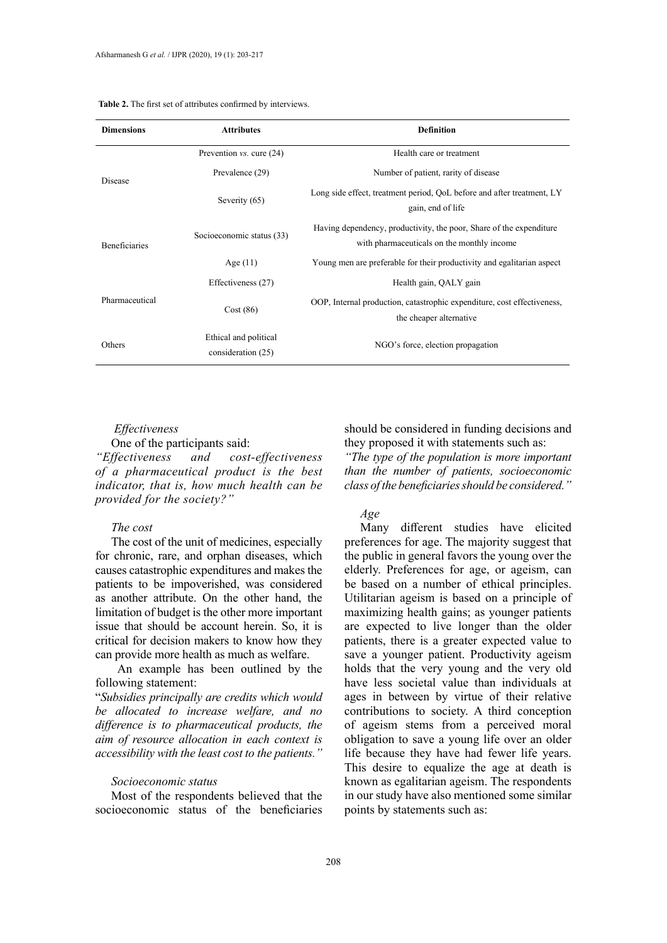| <b>Dimensions</b>    | <b>Attributes</b>                           | <b>Definition</b>                                                                                                 |  |
|----------------------|---------------------------------------------|-------------------------------------------------------------------------------------------------------------------|--|
|                      | Prevention $vs.$ cure $(24)$                | Health care or treatment                                                                                          |  |
| Disease              | Prevalence (29)                             | Number of patient, rarity of disease                                                                              |  |
|                      | Severity (65)                               | Long side effect, treatment period, QoL before and after treatment, LY<br>gain, end of life                       |  |
| <b>Beneficiaries</b> | Socioeconomic status (33)                   | Having dependency, productivity, the poor, Share of the expenditure<br>with pharmaceuticals on the monthly income |  |
|                      | Age $(11)$                                  | Young men are preferable for their productivity and egalitarian aspect                                            |  |
|                      | Effectiveness (27)                          | Health gain, QALY gain                                                                                            |  |
| Pharmaceutical       | Cost(86)                                    | OOP, Internal production, catastrophic expenditure, cost effectiveness,<br>the cheaper alternative                |  |
| Others               | Ethical and political<br>consideration (25) | NGO's force, election propagation                                                                                 |  |

# **Table 2.** The first set of attributes confirmed by interviews. **Table 2.** The first set of attributes confirmed by interviews.

# *Effectiveness*

## One of the participants said:

*"Effectiveness and cost-effectiveness of a pharmaceutical product is the best indicator, that is, how much health can be provided for the society?"*

#### *The cost*

The cost of the unit of medicines, especially for chronic, rare, and orphan diseases, which causes catastrophic expenditures and makes the patients to be impoverished, was considered as another attribute. On the other hand, the limitation of budget is the other more important issue that should be account herein. So, it is critical for decision makers to know how they can provide more health as much as welfare.

 An example has been outlined by the following statement:

"*Subsidies principally are credits which would be allocated to increase welfare, and no difference is to pharmaceutical products, the aim of resource allocation in each context is accessibility with the least cost to the patients."*

## *Socioeconomic status*

Most of the respondents believed that the socioeconomic status of the beneficiaries should be considered in funding decisions and they proposed it with statements such as:

*"The type of the population is more important than the number of patients, socioeconomic class of the beneficiaries should be considered."*

# *Age*

Many different studies have elicited preferences for age. The majority suggest that the public in general favors the young over the elderly. Preferences for age, or ageism, can be based on a number of ethical principles. Utilitarian ageism is based on a principle of maximizing health gains; as younger patients are expected to live longer than the older patients, there is a greater expected value to save a younger patient. Productivity ageism holds that the very young and the very old have less societal value than individuals at ages in between by virtue of their relative contributions to society. A third conception of ageism stems from a perceived moral obligation to save a young life over an older life because they have had fewer life years. This desire to equalize the age at death is known as egalitarian ageism. The respondents in our study have also mentioned some similar points by statements such as: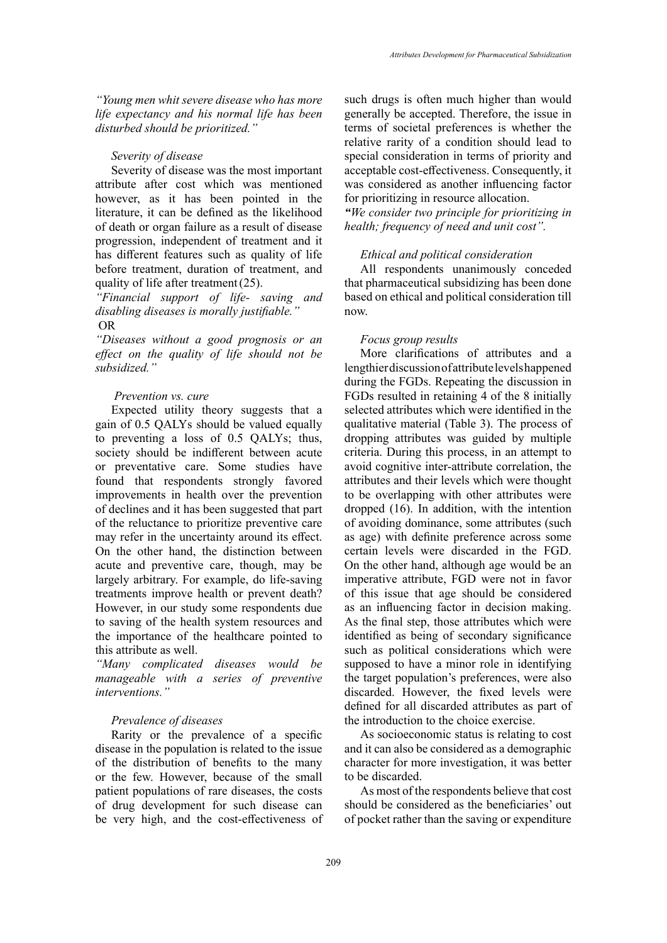*"Young men whit severe disease who has more life expectancy and his normal life has been disturbed should be prioritized."*

## *Severity of disease*

Severity of disease was the most important attribute after cost which was mentioned however, as it has been pointed in the literature, it can be defined as the likelihood of death or organ failure as a result of disease progression, independent of treatment and it has different features such as quality of life before treatment, duration of treatment, and quality of life after treatment(25).

# *"Financial support of life- saving and disabling diseases is morally justifiable."* OR

*"Diseases without a good prognosis or an effect on the quality of life should not be subsidized."*

## *Prevention vs. cure*

Expected utility theory suggests that a gain of 0.5 QALYs should be valued equally to preventing a loss of 0.5 QALYs; thus, society should be indifferent between acute or preventative care. Some studies have found that respondents strongly favored improvements in health over the prevention of declines and it has been suggested that part of the reluctance to prioritize preventive care may refer in the uncertainty around its effect. On the other hand, the distinction between acute and preventive care, though, may be largely arbitrary. For example, do life-saving treatments improve health or prevent death? However, in our study some respondents due to saving of the health system resources and the importance of the healthcare pointed to this attribute as well.

*"Many complicated diseases would be manageable with a series of preventive interventions."*

## *Prevalence of diseases*

Rarity or the prevalence of a specific disease in the population is related to the issue of the distribution of benefits to the many or the few. However, because of the small patient populations of rare diseases, the costs of drug development for such disease can be very high, and the cost-effectiveness of such drugs is often much higher than would generally be accepted. Therefore, the issue in terms of societal preferences is whether the relative rarity of a condition should lead to special consideration in terms of priority and acceptable cost-effectiveness. Consequently, it was considered as another influencing factor for prioritizing in resource allocation. *"We consider two principle for prioritizing in health; frequency of need and unit cost".*

# *Ethical and political consideration*

All respondents unanimously conceded that pharmaceutical subsidizing has been done based on ethical and political consideration till now.

## *Focus group results*

More clarifications of attributes and a lengthier discussion of attribute levels happened during the FGDs. Repeating the discussion in FGDs resulted in retaining 4 of the 8 initially selected attributes which were identified in the qualitative material (Table 3). The process of dropping attributes was guided by multiple criteria. During this process, in an attempt to avoid cognitive inter-attribute correlation, the attributes and their levels which were thought to be overlapping with other attributes were dropped (16). In addition, with the intention of avoiding dominance, some attributes (such as age) with definite preference across some certain levels were discarded in the FGD. On the other hand, although age would be an imperative attribute, FGD were not in favor of this issue that age should be considered as an influencing factor in decision making. As the final step, those attributes which were identified as being of secondary significance such as political considerations which were supposed to have a minor role in identifying the target population's preferences, were also discarded. However, the fixed levels were defined for all discarded attributes as part of the introduction to the choice exercise.

As socioeconomic status is relating to cost and it can also be considered as a demographic character for more investigation, it was better to be discarded.

As most of the respondents believe that cost should be considered as the beneficiaries' out of pocket rather than the saving or expenditure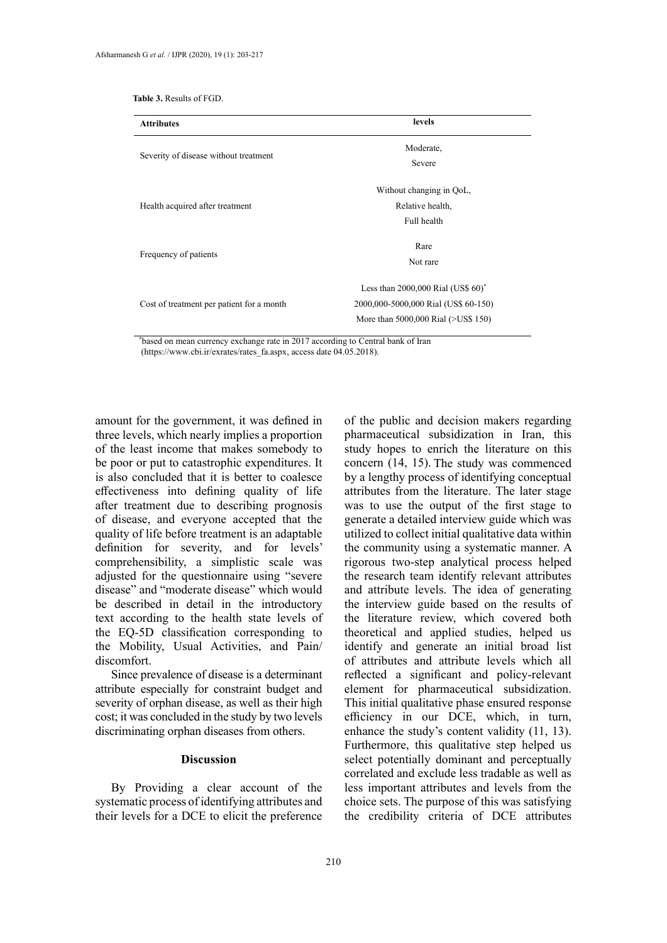|  |  |  | <b>Table 3.</b> Results of FGD. |
|--|--|--|---------------------------------|
|--|--|--|---------------------------------|

| <b>Attributes</b>                         | levels                                              |  |
|-------------------------------------------|-----------------------------------------------------|--|
| Severity of disease without treatment     | Moderate,                                           |  |
|                                           | Severe                                              |  |
|                                           | Without changing in QoL,                            |  |
| Health acquired after treatment           | Relative health,                                    |  |
|                                           | Full health                                         |  |
|                                           | Rare                                                |  |
| Frequency of patients                     | Not rare                                            |  |
|                                           | Less than $2000,000$ Rial (US\$ $60$ ) <sup>*</sup> |  |
| Cost of treatment per patient for a month | 2000,000-5000,000 Rial (US\$ 60-150)                |  |
|                                           | More than 5000,000 Rial (>US\$ 150)                 |  |

\* based on mean currency exchange rate in 2017 according to Central bank of Iran (https://www.cbi.ir/exrates/rates\_fa.aspx, access date 04.05.2018).

amount for the government, it was defined in three levels, which nearly implies a proportion of the least income that makes somebody to be poor or put to catastrophic expenditures. It is also concluded that it is better to coalesce effectiveness into defining quality of life after treatment due to describing prognosis of disease, and everyone accepted that the quality of life before treatment is an adaptable definition for severity, and for levels' comprehensibility, a simplistic scale was adjusted for the questionnaire using "severe disease" and "moderate disease" which would be described in detail in the introductory text according to the health state levels of the EQ-5D classification corresponding to the Mobility, Usual Activities, and Pain/ discomfort.

Since prevalence of disease is a determinant attribute especially for constraint budget and severity of orphan disease, as well as their high cost; it was concluded in the study by two levels discriminating orphan diseases from others.

## **Discussion**

By Providing a clear account of the systematic process of identifying attributes and their levels for a DCE to elicit the preference of the public and decision makers regarding pharmaceutical subsidization in Iran, this study hopes to enrich the literature on this concern (14, 15). The study was commenced by a lengthy process of identifying conceptual attributes from the literature. The later stage was to use the output of the first stage to generate a detailed interview guide which was utilized to collect initial qualitative data within the community using a systematic manner. A rigorous two-step analytical process helped the research team identify relevant attributes and attribute levels. The idea of generating the interview guide based on the results of the literature review, which covered both theoretical and applied studies, helped us identify and generate an initial broad list of attributes and attribute levels which all reflected a significant and policy-relevant element for pharmaceutical subsidization. This initial qualitative phase ensured response efficiency in our DCE, which, in turn, enhance the study's content validity (11, 13). Furthermore, this qualitative step helped us select potentially dominant and perceptually correlated and exclude less tradable as well as less important attributes and levels from the choice sets. The purpose of this was satisfying the credibility criteria of DCE attributes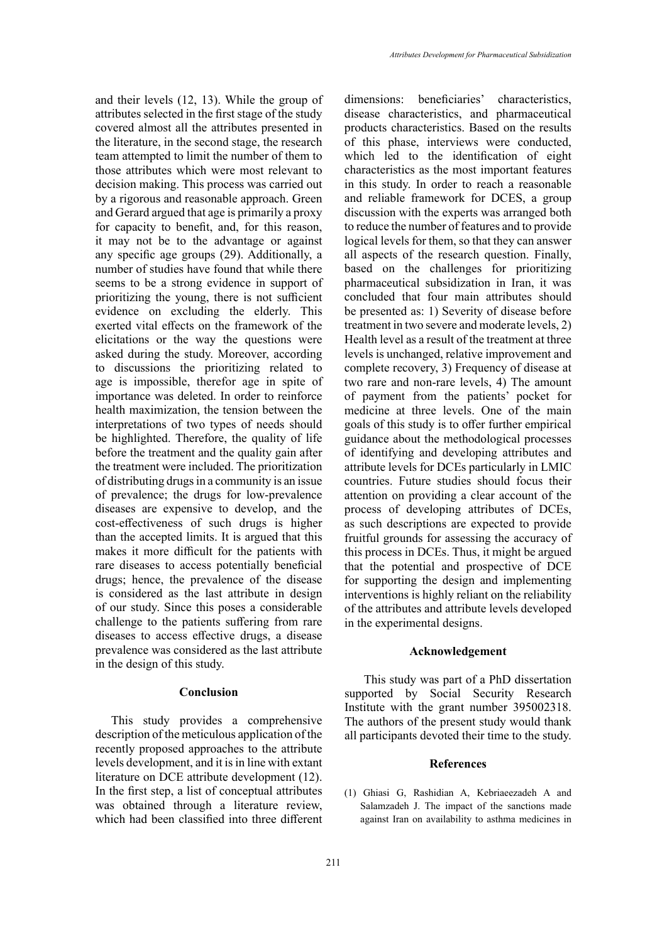and their levels (12, 13). While the group of attributes selected in the first stage of the study covered almost all the attributes presented in the literature, in the second stage, the research team attempted to limit the number of them to those attributes which were most relevant to decision making. This process was carried out by a rigorous and reasonable approach. Green and Gerard argued that age is primarily a proxy for capacity to benefit, and, for this reason, it may not be to the advantage or against any specific age groups (29). Additionally, a number of studies have found that while there seems to be a strong evidence in support of prioritizing the young, there is not sufficient evidence on excluding the elderly. This exerted vital effects on the framework of the elicitations or the way the questions were asked during the study. Moreover, according to discussions the prioritizing related to age is impossible, therefor age in spite of importance was deleted. In order to reinforce health maximization, the tension between the interpretations of two types of needs should be highlighted. Therefore, the quality of life before the treatment and the quality gain after the treatment were included. The prioritization of distributing drugs in a community is an issue of prevalence; the drugs for low-prevalence diseases are expensive to develop, and the cost-effectiveness of such drugs is higher than the accepted limits. It is argued that this makes it more difficult for the patients with rare diseases to access potentially beneficial drugs; hence, the prevalence of the disease is considered as the last attribute in design of our study. Since this poses a considerable challenge to the patients suffering from rare diseases to access effective drugs, a disease prevalence was considered as the last attribute in the design of this study.

# **Conclusion**

This study provides a comprehensive description of the meticulous application of the recently proposed approaches to the attribute levels development, and it is in line with extant literature on DCE attribute development (12). In the first step, a list of conceptual attributes was obtained through a literature review, which had been classified into three different

dimensions: beneficiaries' characteristics, disease characteristics, and pharmaceutical products characteristics. Based on the results of this phase, interviews were conducted, which led to the identification of eight characteristics as the most important features in this study. In order to reach a reasonable and reliable framework for DCES, a group discussion with the experts was arranged both to reduce the number of features and to provide logical levels for them, so that they can answer all aspects of the research question. Finally, based on the challenges for prioritizing pharmaceutical subsidization in Iran, it was concluded that four main attributes should be presented as: 1) Severity of disease before treatment in two severe and moderate levels, 2) Health level as a result of the treatment at three levels is unchanged, relative improvement and complete recovery, 3) Frequency of disease at two rare and non-rare levels, 4) The amount of payment from the patients' pocket for medicine at three levels. One of the main goals of this study is to offer further empirical guidance about the methodological processes of identifying and developing attributes and attribute levels for DCEs particularly in LMIC countries. Future studies should focus their attention on providing a clear account of the process of developing attributes of DCEs, as such descriptions are expected to provide fruitful grounds for assessing the accuracy of this process in DCEs. Thus, it might be argued that the potential and prospective of DCE for supporting the design and implementing interventions is highly reliant on the reliability of the attributes and attribute levels developed in the experimental designs.

## **Acknowledgement**

 This study was part of a PhD dissertation supported by Social Security Research Institute with the grant number 395002318. The authors of the present study would thank all participants devoted their time to the study.

## **References**

(1) Ghiasi G, Rashidian A, Kebriaeezadeh A and Salamzadeh J. The impact of the sanctions made against Iran on availability to asthma medicines in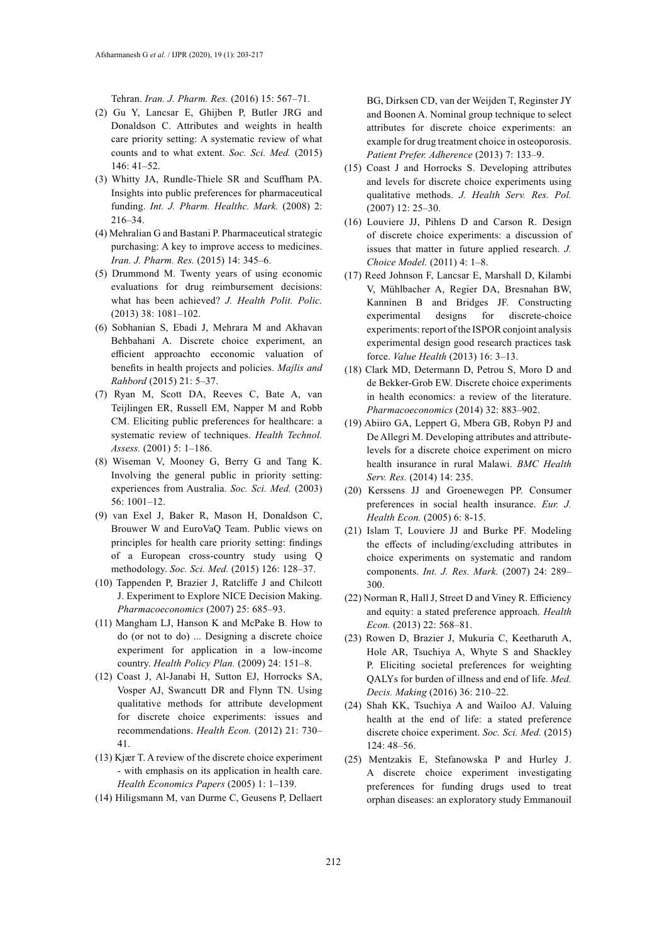Tehran. *Iran. J. Pharm. Res.* (2016) 15: 567–71.

- (2) Gu Y, Lancsar E, Ghijben P, Butler JRG and Donaldson C. Attributes and weights in health care priority setting: A systematic review of what counts and to what extent. *Soc. Sci. Med.* (2015) 146: 41–52.
- (3) Whitty JA, Rundle-Thiele SR and Scuffham PA. Insights into public preferences for pharmaceutical funding. *Int. J. Pharm. Healthc. Mark.* (2008) 2: 216–34.
- (4) Mehralian G and Bastani P. Pharmaceutical strategic purchasing: A key to improve access to medicines. *Iran. J. Pharm. Res.* (2015) 14: 345–6.
- (5) Drummond M. Twenty years of using economic evaluations for drug reimbursement decisions: what has been achieved? *J. Health Polit. Polic.*  (2013) 38: 1081–102.
- (6) Sobhanian S, Ebadi J, Mehrara M and Akhavan Behbahani A. Discrete choice experiment, an efficient approachto ecconomic valuation of benefits in health projects and policies. *Majlis and Rahbord* (2015) 21: 5–37.
- (7) Ryan M, Scott DA, Reeves C, Bate A, van Teijlingen ER, Russell EM, Napper M and Robb CM. Eliciting public preferences for healthcare: a systematic review of techniques. *Health Technol. Assess.* (2001) 5: 1–186.
- (8) Wiseman V, Mooney G, Berry G and Tang K. Involving the general public in priority setting: experiences from Australia. *Soc. Sci. Med.* (2003) 56: 1001–12.
- (9) van Exel J, Baker R, Mason H, Donaldson C, Brouwer W and EuroVaQ Team. Public views on principles for health care priority setting: findings of a European cross-country study using Q methodology. *Soc. Sci. Med.* (2015) 126: 128–37.
- (10) Tappenden P, Brazier J, Ratcliffe J and Chilcott J. Experiment to Explore NICE Decision Making. *Pharmacoeconomics* (2007) 25: 685–93.
- (11) Mangham LJ, Hanson K and McPake B. How to do (or not to do) ... Designing a discrete choice experiment for application in a low-income country. *Health Policy Plan.* (2009) 24: 151–8.
- (12) Coast J, Al-Janabi H, Sutton EJ, Horrocks SA, Vosper AJ, Swancutt DR and Flynn TN. Using qualitative methods for attribute development for discrete choice experiments: issues and recommendations. *Health Econ.* (2012) 21: 730– 41.
- (13) Kjær T. A review of the discrete choice experiment - with emphasis on its application in health care. *Health Economics Papers* (2005) 1: 1–139.
- (14) Hiligsmann M, van Durme C, Geusens P, Dellaert

BG, Dirksen CD, van der Weijden T, Reginster JY and Boonen A. Nominal group technique to select attributes for discrete choice experiments: an example for drug treatment choice in osteoporosis. *Patient Prefer. Adherence* (2013) 7: 133–9.

- (15) Coast J and Horrocks S. Developing attributes and levels for discrete choice experiments using qualitative methods. *J. Health Serv. Res. Pol.* (2007) 12: 25–30.
- (16) Louviere JJ, Pihlens D and Carson R. Design of discrete choice experiments: a discussion of issues that matter in future applied research. *J. Choice Model.* (2011) 4: 1–8.
- (17) Reed Johnson F, Lancsar E, Marshall D, Kilambi V, Mühlbacher A, Regier DA, Bresnahan BW, Kanninen B and Bridges JF. Constructing experimental designs for discrete-choice experiments: report of the ISPOR conjoint analysis experimental design good research practices task force. *Value Health* (2013) 16: 3–13.
- (18) Clark MD, Determann D, Petrou S, Moro D and de Bekker-Grob EW. Discrete choice experiments in health economics: a review of the literature. *Pharmacoeconomics* (2014) 32: 883–902.
- (19) Abiiro GA, Leppert G, Mbera GB, Robyn PJ and De Allegri M. Developing attributes and attributelevels for a discrete choice experiment on micro health insurance in rural Malawi. *BMC Health Serv. Res.* (2014) 14: 235.
- (20) Kerssens JJ and Groenewegen PP. Consumer preferences in social health insurance. *Eur. J. Health Econ.* (2005) 6: 8-15.
- (21) Islam T, Louviere JJ and Burke PF. Modeling the effects of including/excluding attributes in choice experiments on systematic and random components. *Int. J. Res. Mark.* (2007) 24: 289– 300.
- (22) Norman R, Hall J, Street D and Viney R. Efficiency and equity: a stated preference approach. *Health Econ.* (2013) 22: 568–81.
- (23) Rowen D, Brazier J, Mukuria C, Keetharuth A, Hole AR, Tsuchiya A, Whyte S and Shackley P. Eliciting societal preferences for weighting QALYs for burden of illness and end of life. *Med. Decis. Making* (2016) 36: 210–22.
- (24) Shah KK, Tsuchiya A and Wailoo AJ. Valuing health at the end of life: a stated preference discrete choice experiment. *Soc. Sci. Med.* (2015) 124: 48–56.
- (25) Mentzakis E, Stefanowska P and Hurley J. A discrete choice experiment investigating preferences for funding drugs used to treat orphan diseases: an exploratory study Emmanouil